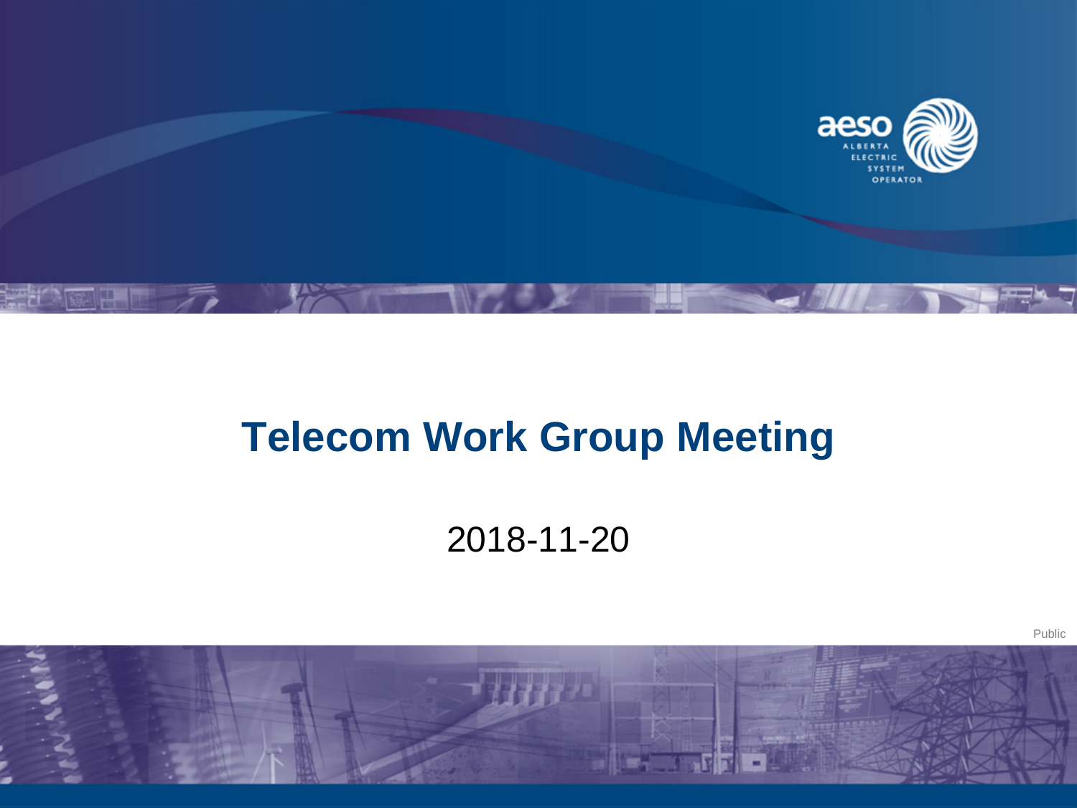

## **Telecom Work Group Meeting**

2018-11-20



Public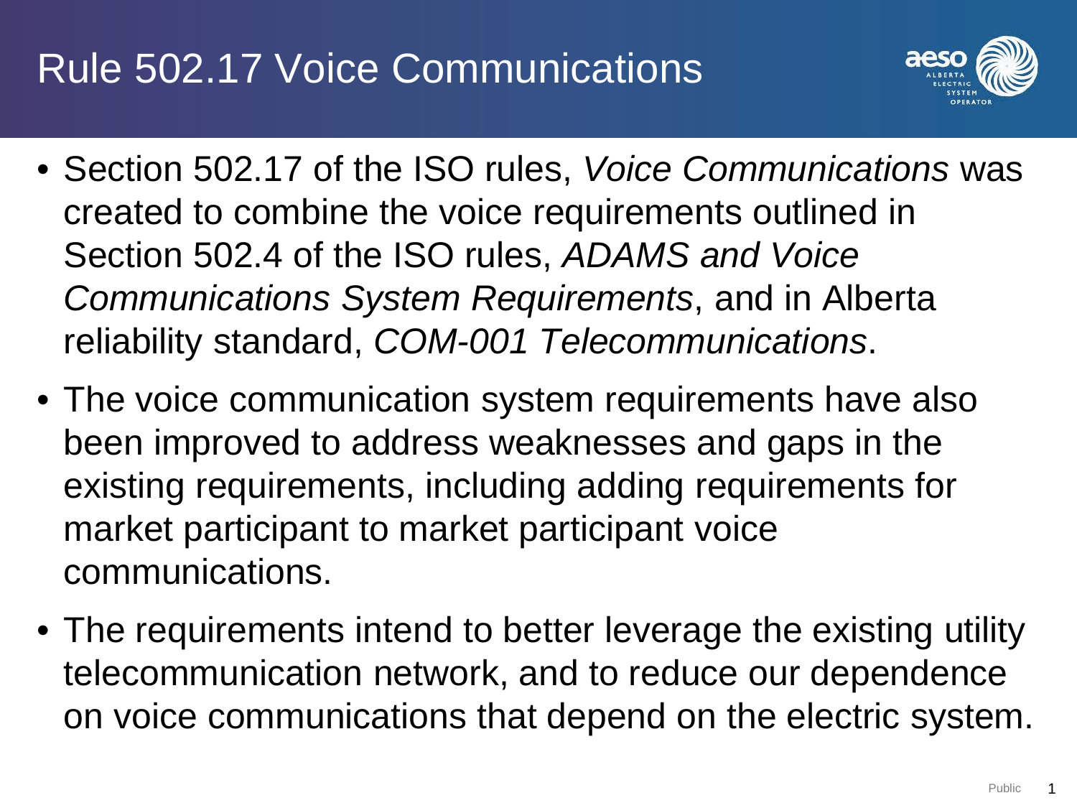## Rule 502.17 Voice Communications



- Section 502.17 of the ISO rules, *Voice Communications* was created to combine the voice requirements outlined in Section 502.4 of the ISO rules, *ADAMS and Voice Communications System Requirements*, and in Alberta reliability standard, *COM-001 Telecommunications*.
- The voice communication system requirements have also been improved to address weaknesses and gaps in the existing requirements, including adding requirements for market participant to market participant voice communications.
- The requirements intend to better leverage the existing utility telecommunication network, and to reduce our dependence on voice communications that depend on the electric system.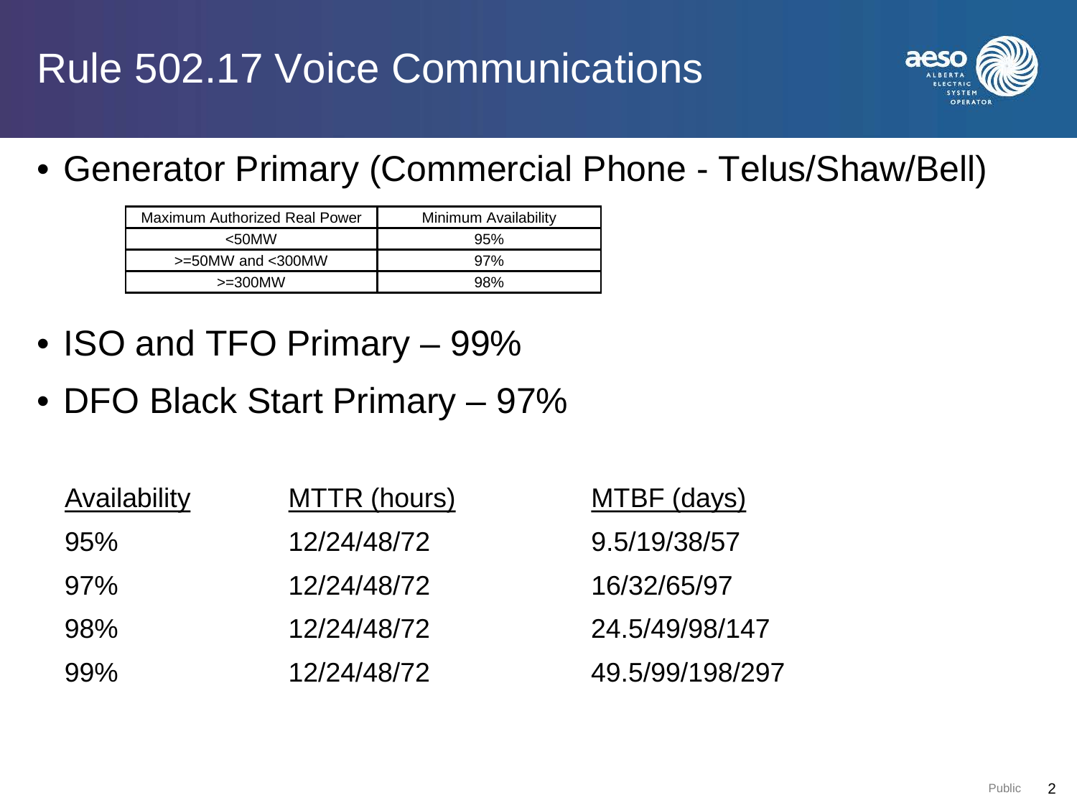

• Generator Primary (Commercial Phone - Telus/Shaw/Bell)

| Maximum Authorized Real Power | Minimum Availability |
|-------------------------------|----------------------|
| $50$ MW                       | 95%                  |
| $>=50$ MW and $<$ 300MW       | 97%                  |
| $>=300$ MW                    | 98%                  |

- ISO and TFO Primary 99%
- DFO Black Start Primary 97%

| Availability | MTTR (hours) | MTBF (days)     |
|--------------|--------------|-----------------|
| 95%          | 12/24/48/72  | 9.5/19/38/57    |
| 97%          | 12/24/48/72  | 16/32/65/97     |
| 98%          | 12/24/48/72  | 24.5/49/98/147  |
| 99%          | 12/24/48/72  | 49.5/99/198/297 |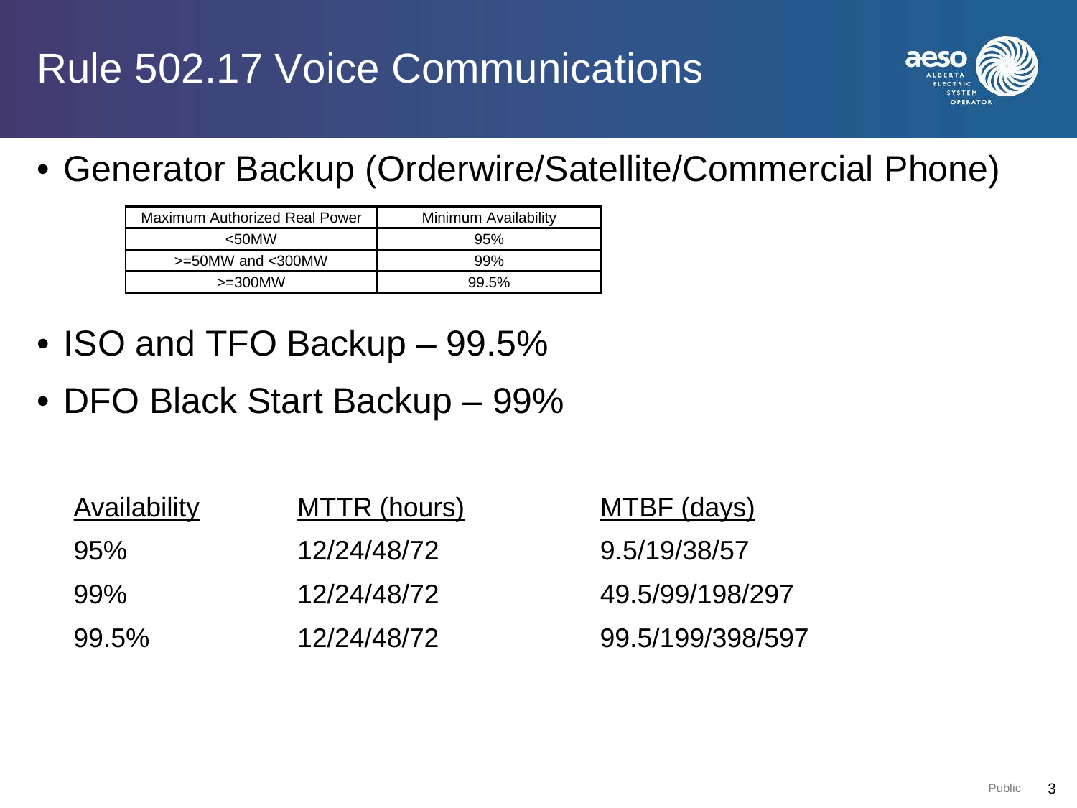

• Generator Backup (Orderwire/Satellite/Commercial Phone)

| Maximum Authorized Real Power | Minimum Availability |
|-------------------------------|----------------------|
| $50$ MW                       | 95%                  |
| $>=50$ MW and $<$ 300MW       | 99%                  |
| $>=300$ MW                    | 99.5%                |

- ISO and TFO Backup 99.5%
- DFO Black Start Backup 99%

| Availability | MTTR (hours) | MTBF (days)      |
|--------------|--------------|------------------|
| 95%          | 12/24/48/72  | 9.5/19/38/57     |
| 99%          | 12/24/48/72  | 49.5/99/198/297  |
| 99.5%        | 12/24/48/72  | 99.5/199/398/597 |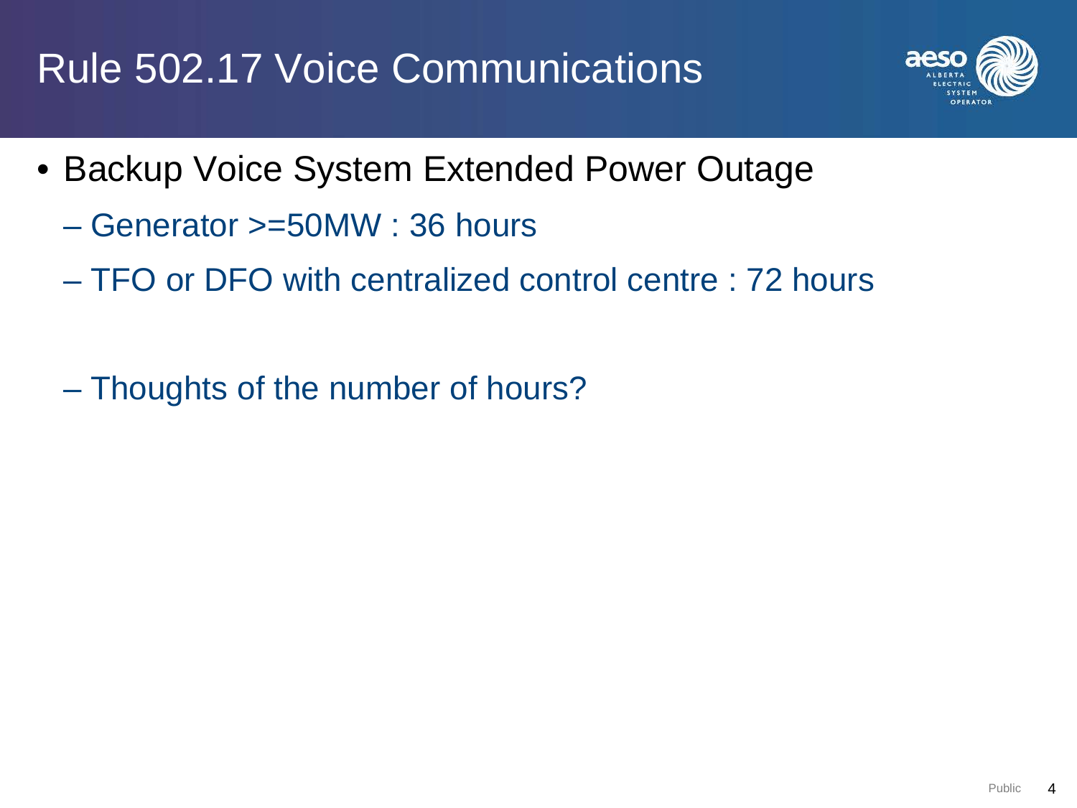## Rule 502.17 Voice Communications



- Backup Voice System Extended Power Outage
	- Generator >=50MW : 36 hours
	- TFO or DFO with centralized control centre : 72 hours
	- Thoughts of the number of hours?